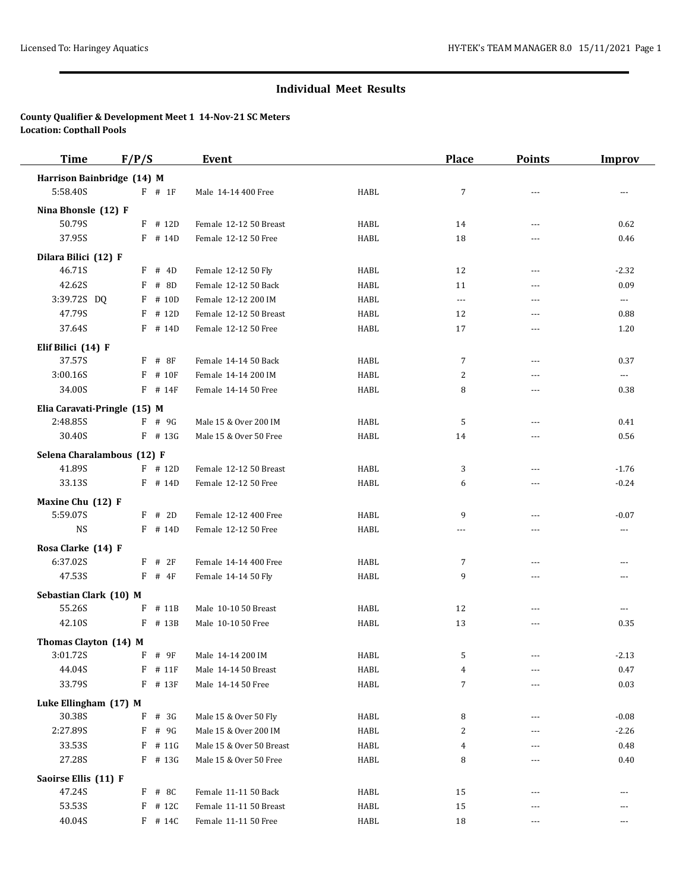# **Individual Meet Results**

### **County Qualifier & Development Meet 1 14-Nov-21 SC Meters Location: Copthall Pools**

| <b>Time</b>                    | F/P/S        | <b>Event</b>             |             | <b>Place</b>   | <b>Points</b>  | <b>Improv</b>        |
|--------------------------------|--------------|--------------------------|-------------|----------------|----------------|----------------------|
| Harrison Bainbridge (14) M     |              |                          |             |                |                |                      |
| 5:58.40S                       | $F$ # 1F     | Male 14-14 400 Free      | <b>HABL</b> | $\overline{7}$ |                | ---                  |
| Nina Bhonsle (12) F            |              |                          |             |                |                |                      |
| 50.79S                         | $F$ # 12D    | Female 12-12 50 Breast   | HABL        | 14             | $---$          | 0.62                 |
| 37.95S                         | $F$ # 14D    | Female 12-12 50 Free     | <b>HABL</b> | 18             |                | 0.46                 |
|                                |              |                          |             |                |                |                      |
| Dilara Bilici (12) F<br>46.71S | $F$ # 4D     | Female 12-12 50 Fly      | HABL        | 12             | ---            | $-2.32$              |
| 42.62S                         | # 8D<br>F    | Female 12-12 50 Back     | HABL        | 11             | $---$          | 0.09                 |
| 3:39.72S DQ                    | $F$ # 10D    | Female 12-12 200 IM      | HABL        | $\cdots$       | ---            | $\scriptstyle\cdots$ |
| 47.79S                         | F<br># 12D   | Female 12-12 50 Breast   | HABL        | 12             | $---$          | 0.88                 |
| 37.64S                         | $F$ # 14D    | Female 12-12 50 Free     | HABL        | 17             | $\overline{a}$ | 1.20                 |
|                                |              |                          |             |                |                |                      |
| Elif Bilici (14) F             |              |                          |             |                |                |                      |
| 37.57S                         | $F$ # 8F     | Female 14-14 50 Back     | HABL        | 7              | $---$          | 0.37                 |
| 3:00.16S                       | # 10F<br>F   | Female 14-14 200 IM      | HABL        | 2              | $---$          | $\cdots$             |
| 34.00S                         | $F$ # 14F    | Female 14-14 50 Free     | HABL        | 8              | $\overline{a}$ | 0.38                 |
| Elia Caravati-Pringle (15) M   |              |                          |             |                |                |                      |
| 2:48.85S                       | $F$ # 9G     | Male 15 & Over 200 IM    | HABL        | 5              | $---$          | 0.41                 |
| 30.40S                         | $F$ # 13G    | Male 15 & Over 50 Free   | HABL        | 14             | $\overline{a}$ | 0.56                 |
| Selena Charalambous (12) F     |              |                          |             |                |                |                      |
| 41.89S                         | $F$ # 12D    | Female 12-12 50 Breast   | <b>HABL</b> | 3              | $\overline{a}$ | $-1.76$              |
| 33.13S                         | $F$ # 14D    | Female 12-12 50 Free     | HABL        | 6              | $---$          | $-0.24$              |
| Maxine Chu (12) F              |              |                          |             |                |                |                      |
| 5:59.07S                       | $F$ # 2D     | Female 12-12 400 Free    | HABL        | 9              | $\overline{a}$ | $-0.07$              |
| <b>NS</b>                      | F # 14D      | Female 12-12 50 Free     | HABL        | $\overline{a}$ | $---$          | ---                  |
| Rosa Clarke (14) F             |              |                          |             |                |                |                      |
| 6:37.02S                       | $F$ # 2F     | Female 14-14 400 Free    | HABL        | 7              | $---$          | $---$                |
| 47.53S                         | $F$ # 4F     | Female 14-14 50 Fly      | HABL        | 9              | $\overline{a}$ | $---$                |
|                                |              |                          |             |                |                |                      |
| Sebastian Clark (10) M         |              |                          |             |                |                |                      |
| 55.26S                         | F # 11B      | Male 10-10 50 Breast     | HABL        | 12             |                | ---                  |
| 42.10S                         | F # 13B      | Male 10-10 50 Free       | HABL        | 13             | ---            | 0.35                 |
| Thomas Clayton (14) M          |              |                          |             |                |                |                      |
| 3:01.72S                       | $F$ # 9F     | Male 14-14 200 IM        | HABL        | .5             |                | $-2.13$              |
| 44.04S                         | $F$ # 11 $F$ | Male 14-14 50 Breast     | HABL        | 4              |                | 0.47                 |
| 33.79S                         | $F$ # 13 $F$ | Male 14-14 50 Free       | HABL        | $\overline{7}$ |                | 0.03                 |
| Luke Ellingham (17) M          |              |                          |             |                |                |                      |
| 30.38S                         | F<br># 3G    | Male 15 & Over 50 Fly    | HABL        | 8              |                | $-0.08$              |
| 2:27.89S                       | $F$ # 9G     | Male 15 & Over 200 IM    | HABL        | $\overline{c}$ |                | $-2.26$              |
| 33.53S                         | $F$ # 11G    | Male 15 & Over 50 Breast | HABL        | $\overline{4}$ |                | 0.48                 |
| 27.28S                         | $F$ # 13G    | Male 15 & Over 50 Free   | HABL        | 8              |                | 0.40                 |
| Saoirse Ellis (11) F           |              |                          |             |                |                |                      |
| 47.24S                         | $F$ # 8C     | Female 11-11 50 Back     | HABL        | 15             |                |                      |
| 53.53S                         | $F$ # 12C    | Female 11-11 50 Breast   | HABL        | 15             | $---$          | ---                  |
| 40.04S                         | $F$ # 14C    | Female 11-11 50 Free     | HABL        | 18             | ---            | ---                  |
|                                |              |                          |             |                |                |                      |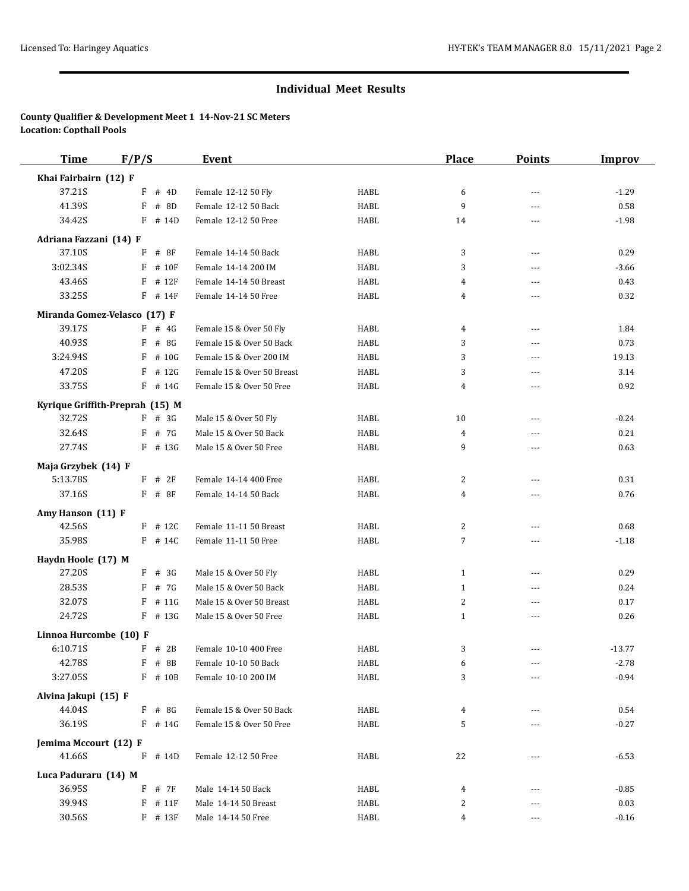### **Individual Meet Results**

### **County Qualifier & Development Meet 1 14-Nov-21 SC Meters Location: Copthall Pools**

| <b>Time</b>                     | F/P/S |              | <b>Event</b>               |             | <b>Place</b>     | <b>Points</b>  | <b>Improv</b> |
|---------------------------------|-------|--------------|----------------------------|-------------|------------------|----------------|---------------|
| Khai Fairbairn (12) F           |       |              |                            |             |                  |                |               |
| 37.21S                          | F     | # 4D         | Female 12-12 50 Fly        | HABL        | 6                | ---            | $-1.29$       |
| 41.39S                          | F     | # 8D         | Female 12-12 50 Back       | HABL        | 9                | $---$          | 0.58          |
| 34.42S                          | F     | # 14D        | Female 12-12 50 Free       | <b>HABL</b> | 14               | ---            | $-1.98$       |
| Adriana Fazzani (14) F          |       |              |                            |             |                  |                |               |
| 37.10S                          | F     | #8F          | Female 14-14 50 Back       | HABL        | 3                | ---            | 0.29          |
| 3:02.34S                        | F     | # 10F        | Female 14-14 200 IM        | HABL        | 3                | ---            | $-3.66$       |
| 43.46S                          | F     | # 12F        | Female 14-14 50 Breast     | <b>HABL</b> | 4                | $---$          | 0.43          |
| 33.25S                          |       | $F$ # 14 $F$ | Female 14-14 50 Free       | HABL        | $\overline{4}$   | ---            | 0.32          |
| Miranda Gomez-Velasco (17) F    |       |              |                            |             |                  |                |               |
| 39.17S                          |       | $F$ # 4G     | Female 15 & Over 50 Fly    | HABL        | 4                | ---            | 1.84          |
| 40.93S                          | F     | # 8G         | Female 15 & Over 50 Back   | HABL        | 3                | $---$          | 0.73          |
| 3:24.94S                        | F     | # 10G        | Female 15 & Over 200 IM    | <b>HABL</b> | 3                | $\overline{a}$ | 19.13         |
| 47.20S                          | F     | # 12G        | Female 15 & Over 50 Breast | HABL        | 3                |                | 3.14          |
| 33.75S                          |       | $F$ # 14G    | Female 15 & Over 50 Free   | HABL        | $\overline{4}$   | ---            | 0.92          |
| Kyrique Griffith-Preprah (15) M |       |              |                            |             |                  |                |               |
| 32.72S                          |       | $F$ # 3G     | Male 15 & Over 50 Fly      | HABL        | 10               | $\overline{a}$ | $-0.24$       |
| 32.64S                          | F     | # 7G         | Male 15 & Over 50 Back     | HABL        | $\overline{4}$   | ---            | 0.21          |
| 27.74S                          |       | $F$ # 13G    | Male 15 & Over 50 Free     | HABL        | 9                | $\overline{a}$ | 0.63          |
| Maja Grzybek (14) F             |       |              |                            |             |                  |                |               |
| 5:13.78S                        | F     | # 2F         | Female 14-14 400 Free      | HABL        | 2                | $---$          | 0.31          |
| 37.16S                          |       | $F$ # 8F     | Female 14-14 50 Back       | HABL        | $\overline{4}$   | $\overline{a}$ | 0.76          |
| Amy Hanson (11) F               |       |              |                            |             |                  |                |               |
| 42.56S                          |       | $F$ # 12C    | Female 11-11 50 Breast     | <b>HABL</b> | 2                |                | 0.68          |
| 35.98S                          |       | $F$ # 14C    | Female 11-11 50 Free       | HABL        | $\boldsymbol{7}$ | $---$          | $-1.18$       |
| Haydn Hoole (17) M              |       |              |                            |             |                  |                |               |
| 27.20S                          |       | $F$ # 3G     | Male 15 & Over 50 Fly      | <b>HABL</b> | $\mathbf{1}$     | ---            | 0.29          |
| 28.53S                          | F     | # 7G         | Male 15 & Over 50 Back     | HABL        | $\mathbf{1}$     | $- - -$        | 0.24          |
| 32.07S                          | F     | # 11G        | Male 15 & Over 50 Breast   | HABL        | 2                | ---            | 0.17          |
| 24.72S                          |       | $F$ # 13G    | Male 15 & Over 50 Free     | HABL        | $\mathbf{1}$     | ---            | 0.26          |
| Linnoa Hurcombe (10) F          |       |              |                            |             |                  |                |               |
| 6:10.71S                        |       | $F$ # 2B     | Female 10-10 400 Free      | HABL        | 3                | ---            | $-13.77$      |
| 42.78S                          | F     | # 8B         | Female 10-10 50 Back       | HABL        | 6                |                | $-2.78$       |
| 3:27.05S                        |       | F # 10B      | Female 10-10 200 IM        | HABL        | 3                |                | $-0.94$       |
| Alvina Jakupi (15) F            |       |              |                            |             |                  |                |               |
| 44.04S                          |       | $F$ # 8G     | Female 15 & Over 50 Back   | HABL        | 4                |                | 0.54          |
| 36.19S                          |       | $F$ # 14G    | Female 15 & Over 50 Free   | HABL        | 5                | ---            | $-0.27$       |
| Jemima Mccourt (12) F           |       |              |                            |             |                  |                |               |
| 41.66S                          |       | $F$ # 14D    | Female 12-12 50 Free       | HABL        | 22               | ---            | $-6.53$       |
| Luca Paduraru (14) M            |       |              |                            |             |                  |                |               |
| 36.95S                          |       | F # 7F       | Male 14-14 50 Back         | HABL        | 4                |                | $-0.85$       |
| 39.94S                          | F     | # 11F        | Male 14-14 50 Breast       | HABL        | 2                | ---            | 0.03          |
| 30.56S                          |       | $F$ # 13 $F$ | Male 14-14 50 Free         | HABL        | 4                | ---            | $-0.16$       |
|                                 |       |              |                            |             |                  |                |               |